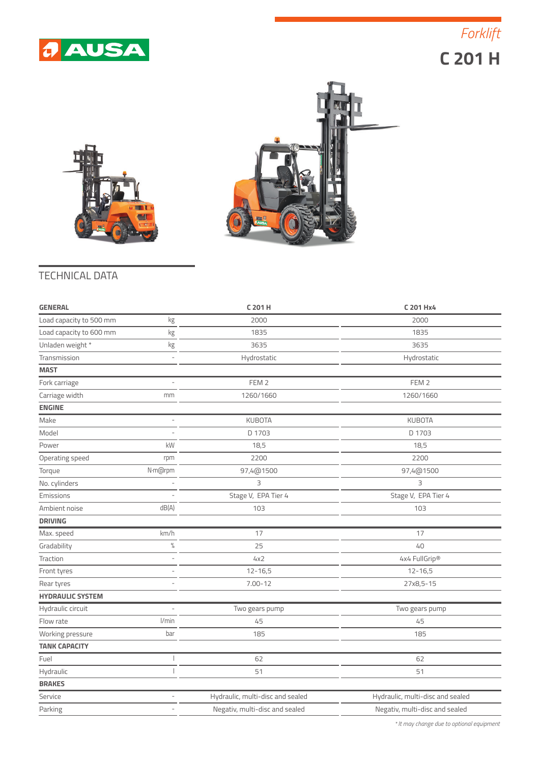

 **C 201 H** *Forklift*





## TECHNICAL DATA

| <b>GENERAL</b>          |                | C 201 H                          | C 201 Hx4                        |
|-------------------------|----------------|----------------------------------|----------------------------------|
| Load capacity to 500 mm | kg             | 2000                             | 2000                             |
| Load capacity to 600 mm | kg             | 1835                             | 1835                             |
| Unladen weight *        | kg             | 3635                             | 3635                             |
| Transmission            | $\bar{a}$      | Hydrostatic                      | Hydrostatic                      |
| <b>MAST</b>             |                |                                  |                                  |
| Fork carriage           |                | FEM <sub>2</sub>                 | FEM <sub>2</sub>                 |
| Carriage width          | mm             | 1260/1660                        | 1260/1660                        |
| <b>ENGINE</b>           |                |                                  |                                  |
| Make                    | L,             | <b>KUBOTA</b>                    | <b>KUBOTA</b>                    |
| Model                   |                | D 1703                           | D 1703                           |
| Power                   | kW             | 18,5                             | 18,5                             |
| Operating speed         | rpm            | 2200                             | 2200                             |
| Torque                  | N·m@rpm        | 97,4@1500                        | 97,4@1500                        |
| No. cylinders           |                | 3                                | 3                                |
| Emissions               |                | Stage V, EPA Tier 4              | Stage V, EPA Tier 4              |
| Ambient noise           | dB(A)          | 103                              | 103                              |
| <b>DRIVING</b>          |                |                                  |                                  |
| Max. speed              | km/h           | 17                               | 17                               |
| Gradability             | $\%$           | 25                               | 40                               |
| Traction                | $\overline{a}$ | 4x2                              | 4x4 FullGrip®                    |
| Front tyres             | ä,             | $12 - 16,5$                      | $12 - 16,5$                      |
| Rear tyres              |                | $7.00 - 12$                      | 27x8,5-15                        |
| <b>HYDRAULIC SYSTEM</b> |                |                                  |                                  |
| Hydraulic circuit       | L,             | Two gears pump                   | Two gears pump                   |
| Flow rate               | l/min          | 45                               | 45                               |
| Working pressure        | bar            | 185                              | 185                              |
| <b>TANK CAPACITY</b>    |                |                                  |                                  |
| Fuel                    |                | 62                               | 62                               |
| Hydraulic               |                | 51                               | 51                               |
| <b>BRAKES</b>           |                |                                  |                                  |
| Service                 | ÷              | Hydraulic, multi-disc and sealed | Hydraulic, multi-disc and sealed |
| Parking                 |                | Negativ, multi-disc and sealed   | Negativ, multi-disc and sealed   |
|                         |                |                                  |                                  |

*\* It may change due to optional equipment*